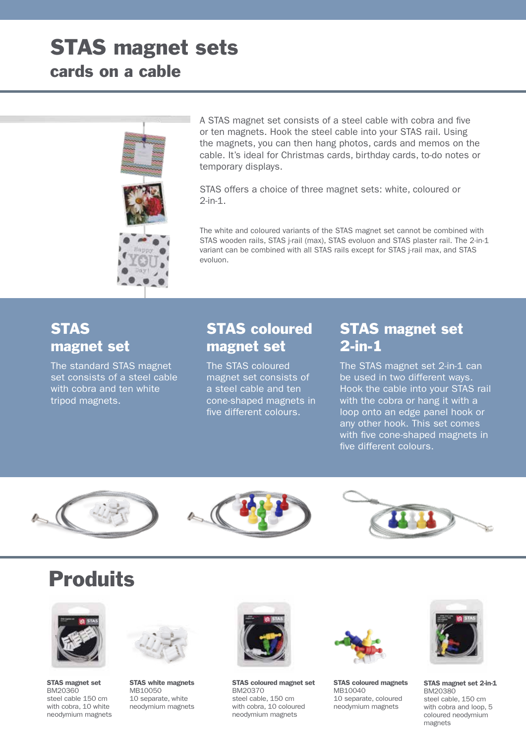# STAS magnet sets



A STAS magnet set consists of a steel cable with cobra and five or ten magnets. Hook the steel cable into your STAS rail. Using the magnets, you can then hang photos, cards and memos on the cable. It's ideal for Christmas cards, birthday cards, to-do notes or temporary displays.

STAS offers a choice of three magnet sets: white, coloured or 2-in-1.

The white and coloured variants of the STAS magnet set cannot be combined with STAS wooden rails, STAS j-rail (max), STAS evoluon and STAS plaster rail. The 2-in-1 variant can be combined with all STAS rails except for STAS j-rail max, and STAS evoluon.

#### **STAS** magnet set

The standard STAS magnet set consists of a steel cable with cobra and ten white tripod magnets.

### STAS coloured magnet set

The STAS coloured magnet set consists of a steel cable and ten cone-shaped magnets in five different colours.

#### STAS magnet set 2-in-1

The STAS magnet set 2-in-1 can be used in two different ways. Hook the cable into your STAS rail with the cobra or hang it with a loop onto an edge panel hook or any other hook. This set comes with five cone-shaped magnets in five different colours.







## **Produits**



STAS magnet set BM20360 steel cable 150 cm with cobra, 10 white neodymium magnets



STAS white magnets MB10050 10 separate, white neodymium magnets



STAS coloured magnet set BM20370 steel cable, 150 cm with cobra, 10 coloured neodymium magnets



STAS coloured magnets MB10040 10 separate, coloured neodymium magnets



STAS magnet set 2-in-1 BM20380 steel cable, 150 cm with cobra and loop, 5 coloured neodymium magnets